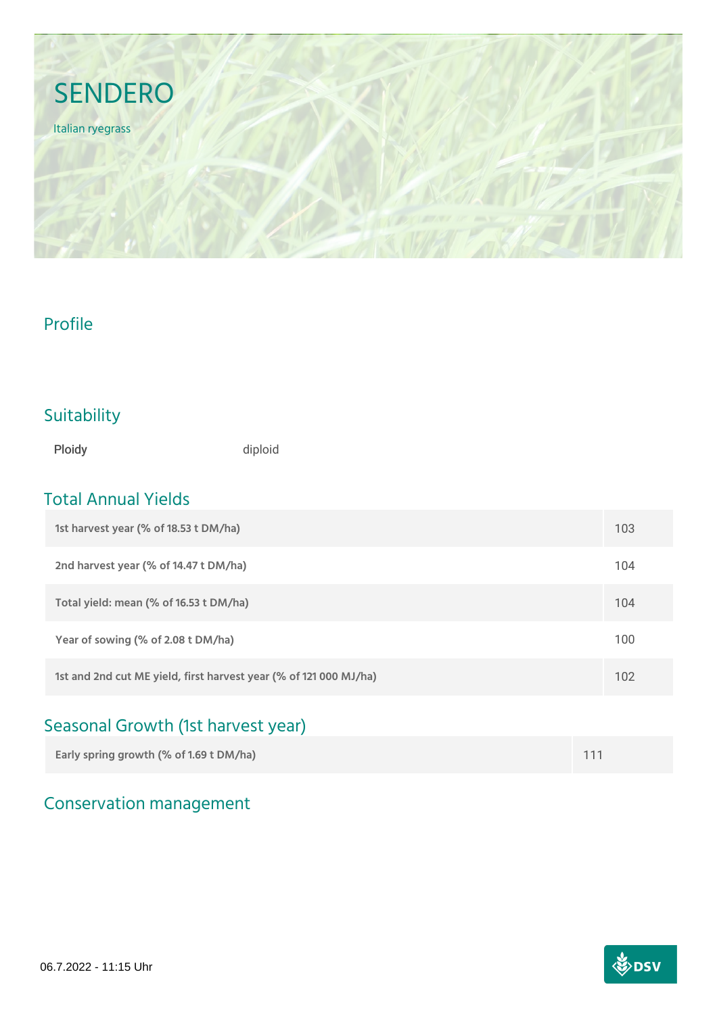

### Profile

## Suitability

Ploidy diploid

### Total Annual Yields

| 1st harvest year (% of 18.53 t DM/ha)                             | 103 |
|-------------------------------------------------------------------|-----|
| 2nd harvest year (% of 14.47 t DM/ha)                             | 104 |
| Total yield: mean (% of 16.53 t DM/ha)                            | 104 |
| Year of sowing (% of 2.08 t DM/ha)                                | 100 |
| 1st and 2nd cut ME yield, first harvest year (% of 121 000 MJ/ha) | 102 |

# Seasonal Growth (1st harvest year)

| Early spring growth (% of 1.69 t DM/ha) |  |  |
|-----------------------------------------|--|--|
|-----------------------------------------|--|--|

# Conservation management